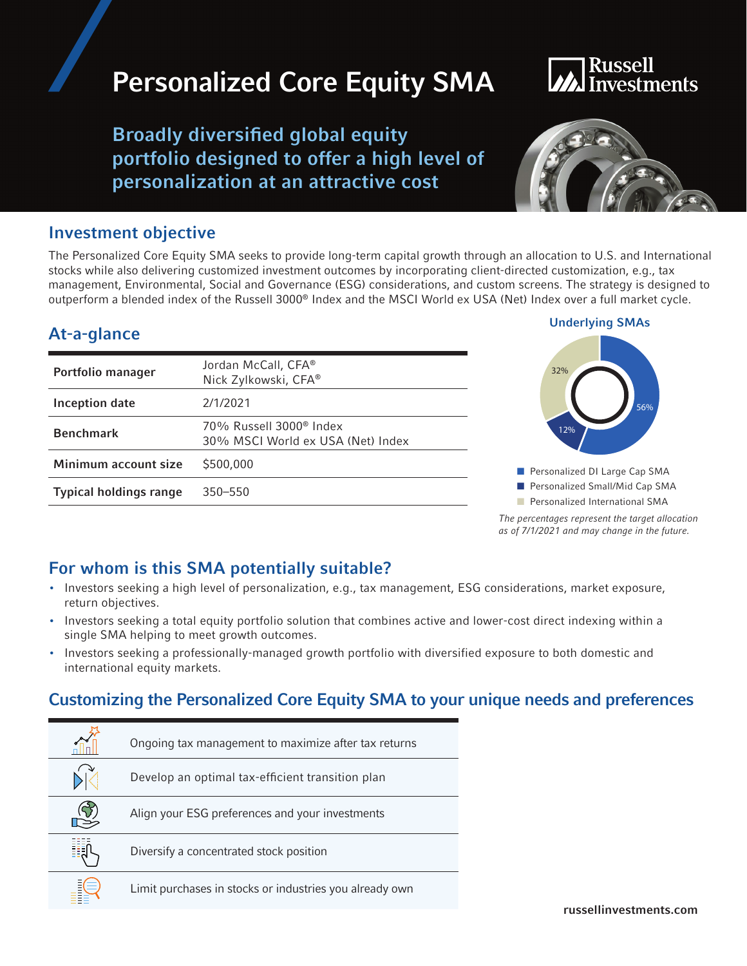## Personalized Core Equity SMA

Broadly diversified global equity portfolio designed to offer a high level of personalization at an attractive cost

### Investment objective

The Personalized Core Equity SMA seeks to provide long-term capital growth through an allocation to U.S. and International stocks while also delivering customized investment outcomes by incorporating client-directed customization, e.g., tax management, Environmental, Social and Governance (ESG) considerations, and custom screens. The strategy is designed to outperform a blended index of the Russell 3000® Index and the MSCI World ex USA (Net) Index over a full market cycle.

### At-a-glance Underlying SMAs

| Portfolio manager             | Jordan McCall, CFA®<br>Nick Zylkowski, CFA®                              |
|-------------------------------|--------------------------------------------------------------------------|
| Inception date                | 2/1/2021                                                                 |
| <b>Benchmark</b>              | 70% Russell 3000 <sup>®</sup> Index<br>30% MSCI World ex USA (Net) Index |
| Minimum account size          | \$500,000                                                                |
| <b>Typical holdings range</b> | $350 - 550$                                                              |
|                               |                                                                          |



**n** Personalized International SMA

*The percentages represent the target allocation as of 7/1/2021 and may change in the future.*

### For whom is this SMA potentially suitable?

- Investors seeking a high level of personalization, e.g., tax management, ESG considerations, market exposure, return objectives.
- Investors seeking a total equity portfolio solution that combines active and lower-cost direct indexing within a single SMA helping to meet growth outcomes.
- Investors seeking a professionally-managed growth portfolio with diversified exposure to both domestic and international equity markets.

### Customizing the Personalized Core Equity SMA to your unique needs and preferences

| Ongoing tax management to maximize after tax returns    |
|---------------------------------------------------------|
| Develop an optimal tax-efficient transition plan        |
| Align your ESG preferences and your investments         |
| Diversify a concentrated stock position                 |
| Limit purchases in stocks or industries you already own |

# nvestments

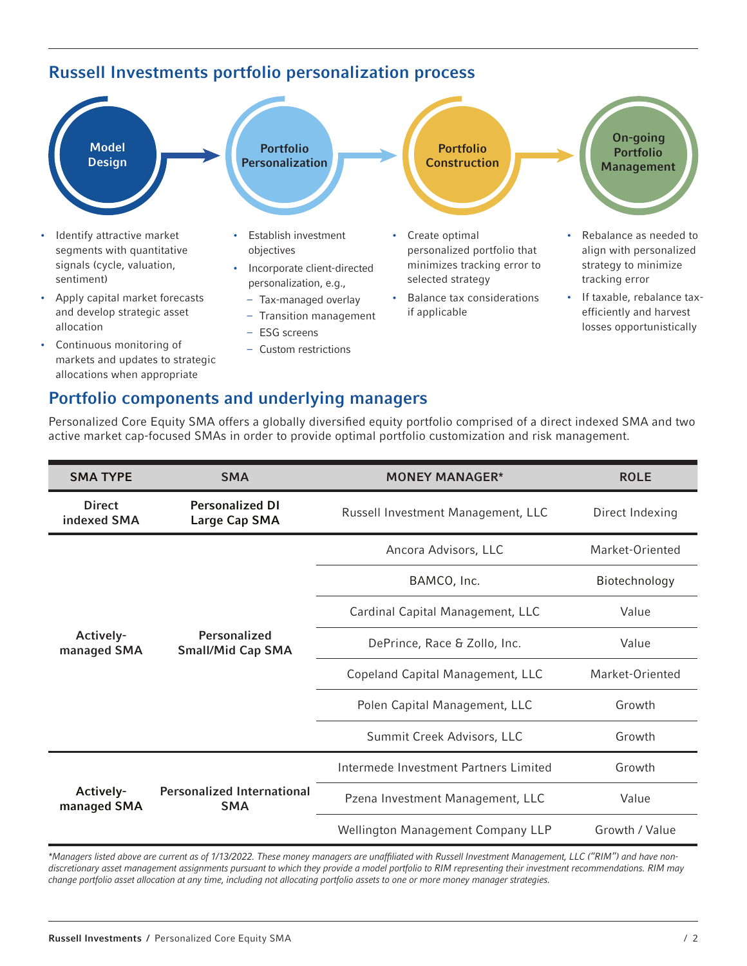### Russell Investments portfolio personalization process



- and develop strategic asset allocation
- Continuous monitoring of markets and updates to strategic allocations when appropriate
- Tax-managed overlay
- Transition management
- ESG screens
- Custom restrictions
- if applicable
- efficiently and harvest losses opportunistically

### Portfolio components and underlying managers

| <b>SMA TYPE</b>              | <b>SMA</b>                                      | <b>MONEY MANAGER*</b>                 | <b>ROLE</b>     |
|------------------------------|-------------------------------------------------|---------------------------------------|-----------------|
| <b>Direct</b><br>indexed SMA | <b>Personalized DI</b><br>Large Cap SMA         | Russell Investment Management, LLC    | Direct Indexing |
| Actively-<br>managed SMA     |                                                 | Ancora Advisors, LLC                  | Market-Oriented |
|                              |                                                 | BAMCO, Inc.                           | Biotechnology   |
|                              |                                                 | Cardinal Capital Management, LLC      | Value           |
|                              | Personalized<br><b>Small/Mid Cap SMA</b>        | DePrince, Race & Zollo, Inc.          | Value           |
|                              |                                                 | Copeland Capital Management, LLC      | Market-Oriented |
|                              |                                                 | Polen Capital Management, LLC         | Growth          |
|                              |                                                 | Summit Creek Advisors, LLC            | Growth          |
| Actively-<br>managed SMA     | <b>Personalized International</b><br><b>SMA</b> | Intermede Investment Partners Limited | Growth          |
|                              |                                                 | Pzena Investment Management, LLC      | Value           |
|                              |                                                 | Wellington Management Company LLP     | Growth / Value  |

Personalized Core Equity SMA offers a globally diversified equity portfolio comprised of a direct indexed SMA and two active market cap-focused SMAs in order to provide optimal portfolio customization and risk management.

*\*Managers listed above are current as of 1/13/2022. These money managers are unaffiliated with Russell Investment Management, LLC ("RIM") and have nondiscretionary asset management assignments pursuant to which they provide a model portfolio to RIM representing their investment recommendations. RIM may change portfolio asset allocation at any time, including not allocating portfolio assets to one or more money manager strategies.*